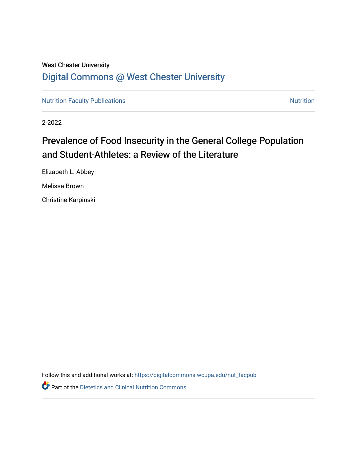# West Chester University [Digital Commons @ West Chester University](https://digitalcommons.wcupa.edu/)

[Nutrition Faculty Publications](https://digitalcommons.wcupa.edu/nut_facpub) [Nutrition](https://digitalcommons.wcupa.edu/nut) Nutrition

2-2022

# Prevalence of Food Insecurity in the General College Population and Student-Athletes: a Review of the Literature

Elizabeth L. Abbey Melissa Brown

Christine Karpinski

Follow this and additional works at: [https://digitalcommons.wcupa.edu/nut\\_facpub](https://digitalcommons.wcupa.edu/nut_facpub?utm_source=digitalcommons.wcupa.edu%2Fnut_facpub%2F5&utm_medium=PDF&utm_campaign=PDFCoverPages)

**Part of the Dietetics and Clinical Nutrition Commons**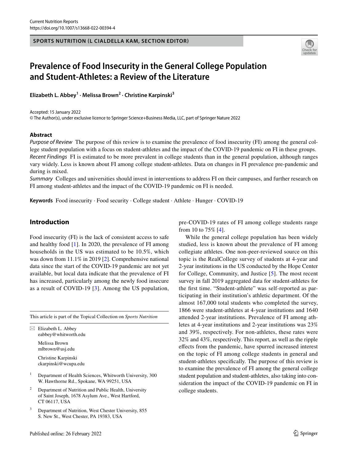#### **SPORTS NUTRITION (L CIALDELLA KAM, SECTION EDITOR)**



# **Prevalence of Food Insecurity in the General College Population and Student‑Athletes: a Review of the Literature**

**Elizabeth L. Abbey1 · Melissa Brown2 · Christine Karpinski3**

Accepted: 15 January 2022

© The Author(s), under exclusive licence to Springer Science+Business Media, LLC, part of Springer Nature 2022

#### **Abstract**

*Purpose of Review* The purpose of this review is to examine the prevalence of food insecurity (FI) among the general college student population with a focus on student-athletes and the impact of the COVID-19 pandemic on FI in these groups. *Recent Findings* FI is estimated to be more prevalent in college students than in the general population, although ranges vary widely. Less is known about FI among college student-athletes. Data on changes in FI prevalence pre-pandemic and during is mixed.

*Summary* Colleges and universities should invest in interventions to address FI on their campuses, and further research on FI among student-athletes and the impact of the COVID-19 pandemic on FI is needed.

**Keywords** Food insecurity · Food security · College student · Athlete · Hunger · COVID-19

# **Introduction**

Food insecurity (FI) is the lack of consistent access to safe and healthy food [[1\]](#page-19-0). In 2020, the prevalence of FI among households in the US was estimated to be 10.5%, which was down from 11.1% in 2019 [\[2](#page-19-1)]. Comprehensive national data since the start of the COVID-19 pandemic are not yet available, but local data indicate that the prevalence of FI has increased, particularly among the newly food insecure as a result of COVID-19 [\[3\]](#page-19-2). Among the US population,

This article is part of the Topical Collection on *Sports Nutrition*

 $\boxtimes$  Elizabeth L. Abbey eabbey@whitworth.edu Melissa Brown

mlbrown@usj.edu

Christine Karpinski ckarpinski@wcupa.edu

- <sup>1</sup> Department of Health Sciences, Whitworth University, 300 W. Hawthorne Rd., Spokane, WA 99251, USA
- <sup>2</sup> Department of Nutrition and Public Health, University of Saint Joseph, 1678 Asylum Ave., West Hartford, CT 06117, USA
- <sup>3</sup> Department of Nutrition, West Chester University, 855 S. New St., West Chester, PA 19383, USA

pre-COVID-19 rates of FI among college students range from 10 to 75% [\[4](#page-19-3)].

While the general college population has been widely studied, less is known about the prevalence of FI among collegiate athletes. One non-peer-reviewed source on this topic is the RealCollege survey of students at 4-year and 2-year institutions in the US conducted by the Hope Center for College, Community, and Justice [[5\]](#page-19-4). The most recent survey in fall 2019 aggregated data for student-athletes for the frst time. "Student-athlete" was self-reported as participating in their institution's athletic department. Of the almost 167,000 total students who completed the survey, 1866 were student-athletes at 4-year institutions and 1640 attended 2-year institutions. Prevalence of FI among athletes at 4-year institutions and 2-year institutions was 23% and 39%, respectively. For non-athletes, these rates were 32% and 43%, respectively. This report, as well as the ripple efects from the pandemic, have spurred increased interest on the topic of FI among college students in general and student-athletes specifcally. The purpose of this review is to examine the prevalence of FI among the general college student population and student-athletes, also taking into consideration the impact of the COVID-19 pandemic on FI in college students.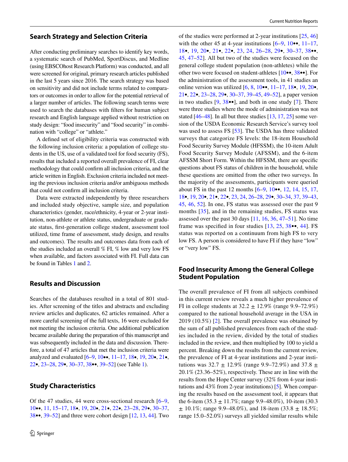#### **Search Strategy and Selection Criteria**

After conducting preliminary searches to identify key words, a systematic search of PubMed, SportDiscus, and Medline (using EBSCOhost Research Platform) was conducted, and all were screened for original, primary research articles published in the last 5 years since 2016. The search strategy was based on sensitivity and did not include terms related to comparators or outcomes in order to allow for the potential retrieval of a larger number of articles. The following search terms were used to search the databases with flters for human subject research and English language applied without restriction on study design: "food insecurity" and "food security" in combination with "college" or "athlete."

A defned set of eligibility criteria was constructed with the following inclusion criteria: a population of college students in the US, use of a validated tool for food security (FS), results that included a reported overall prevalence of FI, clear methodology that could confrm all inclusion criteria, and the article written in English. Exclusion criteria included not meeting the previous inclusion criteria and/or ambiguous methods that could not confrm all inclusion criteria.

Data were extracted independently by three researchers and included study objective, sample size, and population characteristics (gender, race/ethnicity, 4-year or 2-year institution, non-athlete or athlete status, undergraduate or graduate status, frst-generation college student, assessment tool utilized, time frame of assessment, study design, and results and outcomes). The results and outcomes data from each of the studies included an overall % FI, % low and very low FS when available, and factors associated with FI. Full data can be found in Tables [1](#page-3-0) and [2.](#page-17-0)

## **Results and Discussion**

Searches of the databases resulted in a total of 801 studies. After screening of the titles and abstracts and excluding review articles and duplicates, 62 articles remained. After a more careful screening of the full texts, 16 were excluded for not meeting the inclusion criteria. One additional publication became available during the preparation of this manuscript and was subsequently included in the data and discussion. Therefore, a total of 47 articles that met the inclusion criteria were analyzed and evaluated [\[6](#page-20-0)[–9](#page-20-1), [10•](#page-20-2)•, [11](#page-20-3)[–17,](#page-20-4) [18•](#page-20-5), [19,](#page-20-6) [20](#page-20-7)•, [21](#page-20-8)•, [22•](#page-20-9), [23–](#page-20-10)[28](#page-20-11), [29•](#page-20-12), [30–](#page-20-13)[37,](#page-21-0) [38](#page-21-1)••, [39](#page-21-2)[–52](#page-21-3)] (see Table [1\)](#page-3-0).

# **Study Characteristics**

Of the 47 studies, 44 were cross-sectional research [[6](#page-20-0)[–9,](#page-20-1) [10](#page-20-2)••, [11,](#page-20-3) [15–](#page-20-14)[17,](#page-20-4) [18•](#page-20-5), [19](#page-20-6), [20](#page-20-7)•, [21](#page-20-8)•, [22•](#page-20-9), [23](#page-20-10)[–28](#page-20-11), [29](#page-20-12)•, [30–](#page-20-13)[37,](#page-21-0) [38•](#page-21-1)•, [39](#page-21-2)[–52](#page-21-3)] and three were cohort design [\[12](#page-20-15), [13,](#page-20-16) [44\]](#page-21-4). Two

of the studies were performed at 2-year institutions [[25,](#page-20-17) [46\]](#page-21-5) with the other 45 at 4-year institutions  $[6-9, 10\bullet, 11-17,$  $[6-9, 10\bullet, 11-17,$  $[6-9, 10\bullet, 11-17,$  $[6-9, 10\bullet, 11-17,$  $[6-9, 10\bullet, 11-17,$  $[6-9, 10\bullet, 11-17,$ [18](#page-20-5)•, [19](#page-20-6), [20](#page-20-7)•, [21](#page-20-8)•, [22](#page-20-9)•, [23,](#page-20-10) [24](#page-20-18), [26](#page-20-19)[–28,](#page-20-11) [29](#page-20-12)•, [30–](#page-20-13)[37](#page-21-0), [38•](#page-21-1)•, [45](#page-21-6), [47–](#page-21-7)[52\]](#page-21-3). All but two of the studies were focused on the general college student population (non-athletes) while the other two were focused on student-athletes [\[10](#page-20-2)••, [38•](#page-21-1)•]. For the administration of the assessment tools, in 41 studies an online version was utilized  $[6, 8, 10, 11, 17, 18, 19, 20, 19]$  $[6, 8, 10, 11, 17, 18, 19, 20, 19]$  $[6, 8, 10, 11, 17, 18, 19, 20, 19]$  $[6, 8, 10, 11, 17, 18, 19, 20, 19]$  $[6, 8, 10, 11, 17, 18, 19, 20, 19]$  $[6, 8, 10, 11, 17, 18, 19, 20, 19]$  $[6, 8, 10, 11, 17, 18, 19, 20, 19]$  $[6, 8, 10, 11, 17, 18, 19, 20, 19]$  $[6, 8, 10, 11, 17, 18, 19, 20, 19]$  $[6, 8, 10, 11, 17, 18, 19, 20, 19]$  $[6, 8, 10, 11, 17, 18, 19, 20, 19]$  $[6, 8, 10, 11, 17, 18, 19, 20, 19]$ [21](#page-20-8)•, [22](#page-20-9)•, [23](#page-20-10)[–28,](#page-20-11) [29•](#page-20-12), [30–](#page-20-13)[37](#page-21-0), [39](#page-21-2)[–45,](#page-21-6) [49–](#page-21-8)[52](#page-21-3)], a paper version in two studies  $[9, 38 \bullet \bullet]$  $[9, 38 \bullet \bullet]$  $[9, 38 \bullet \bullet]$  $[9, 38 \bullet \bullet]$ , and both in one study [\[7](#page-20-21)]. There were three studies where the mode of administration was not stated [[46–](#page-21-5)[48\]](#page-21-9). In all but three studies [[13,](#page-20-16) [17](#page-20-4), [25\]](#page-20-17) some version of the USDA Economic Research Service's survey tool was used to assess FS [\[53](#page-21-10)]. The USDA has three validated surveys that categorize FS levels: the 18-item Household Food Security Survey Module (HFSSM), the 10-item Adult Food Security Survey Module (AFSSM), and the 6-item AFSSM Short Form. Within the HFSSM, there are specifc questions about FS status of children in the household, while these questions are omitted from the other two surveys. In the majority of the assessments, participants were queried about FS in the past 12 months [[6–](#page-20-0)[9](#page-20-1), [10•](#page-20-2)•, [12](#page-20-15), [14,](#page-20-22) [15](#page-20-14), [17,](#page-20-4) [18](#page-20-5)•, [19,](#page-20-6) [20](#page-20-7)•, [21](#page-20-8)•, [22](#page-20-9)•, [23](#page-20-10), [24,](#page-20-18) [26–](#page-20-19)[28,](#page-20-11) [29](#page-20-12)•, [30](#page-20-13)[–34,](#page-21-11) [37](#page-21-0), [39–](#page-21-2)[43,](#page-21-12) [45](#page-21-6), [46,](#page-21-5) [52\]](#page-21-3). In one, FS status was assessed over the past 9 months [\[35\]](#page-21-13), and in the remaining studies, FS status was assessed over the past 30 days [[11,](#page-20-3) [16](#page-20-23), [36](#page-21-14), [47](#page-21-7)[–51](#page-21-15)]. No time frame was specified in four studies [[13](#page-20-16), [25](#page-20-17), [38](#page-21-1)••, [44\]](#page-21-4). FS status was reported on a continuum from high FS to very low FS. A person is considered to have FI if they have "low" or "very low" FS.

#### **Food Insecurity Among the General College Student Population**

The overall prevalence of FI from all subjects combined in this current review reveals a much higher prevalence of FI in college students at  $32.2 \pm 12.9\%$  (range 9.9–72.9%) compared to the national household average in the USA in 2019 (10.5%) [[2\]](#page-19-1). The overall prevalence was obtained by the sum of all published prevalences from each of the studies included in the review, divided by the total of studies included in the review, and then multiplied by 100 to yield a percent. Breaking down the results from the current review, the prevalence of FI at 4-year institutions and 2-year institutions was  $32.7 \pm 12.9\%$  (range 9.9–72.9%) and  $37.8 \pm$ 20.1% (23.36–52%), respectively. These are in line with the results from the Hope Center survey (32% from 4-year institutions and 43% from 2-year institutions) [[5\]](#page-19-4). When comparing the results based on the assessment tool, it appears that the 6-item  $(35.3 \pm 11.7\%; \text{range } 9.9-48.0\%), 10\text{-item } (30.3)$  $\pm$  10.1%; range 9.9–48.0%), and 18-item (33.8  $\pm$  18.5%; range 15.0–52.0%) surveys all yielded similar results while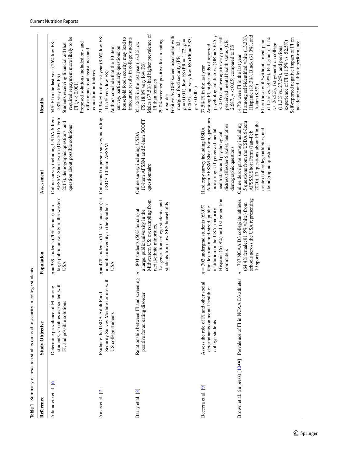| Reference           | <b>Study Objective</b>                                                                                   | Population                                                                                                                                                                                                           | Assessment                                                                                                                                                                                                    | Results                                                                                                                                                                                                                                                                                                                                                                                                                          |
|---------------------|----------------------------------------------------------------------------------------------------------|----------------------------------------------------------------------------------------------------------------------------------------------------------------------------------------------------------------------|---------------------------------------------------------------------------------------------------------------------------------------------------------------------------------------------------------------|----------------------------------------------------------------------------------------------------------------------------------------------------------------------------------------------------------------------------------------------------------------------------------------------------------------------------------------------------------------------------------------------------------------------------------|
| Adamovic et al. [6] | with<br>Determine prevalence of FI among<br>students, variables associated<br>FI, and possible solutions | large public university in the western<br>$=$ 339 students (70% female) at a<br><b>USA</b><br>z                                                                                                                      | Online survey including USDA 6-Item<br>AFSSM Short Form (Dec 2016-Feb<br>2017), demographic questions, and<br>question about possible solutions                                                               | required repayment more likely to be<br>54% FI in the last year (26% low FS;<br>Proposed solutions included on- and<br>Students receiving financial aid that<br>off-campus food assistance and<br>education initiatives<br>$28\%$ very low FS)<br>FI $(p<0.001)$                                                                                                                                                                 |
| Ames et al. [7]     | Security Survey Module for use with<br>Evaluate the USDA Adult Food<br>US college students               | $n = 478$ students (51.1% Caucasian) at<br>a public university in the Southern<br>USA                                                                                                                                | Online and in-person survey including<br>USDA 10-item AFSSM                                                                                                                                                   | 21.3% FI in the last year (9.6% low FS;<br>household food security, may lead to<br>inaccurate results in college students<br>survey, particularly questions on<br>Authors conclude that the 10-item<br>11.7% very low FS)                                                                                                                                                                                                        |
| Barry et al. [8]    | Relationship between FI and screening<br>positive for an eating disorder                                 | Midwestern US; oversampling from<br>1st-generation college students, and<br>students from low SES households<br>$n = 804$ students (50% female) at<br>a large, public university in the<br>racial/ethnic minorities, | 10-item AFSSM and 5-item SCOFF<br>Online survey including USDA<br>questionnaire                                                                                                                               | Males (37.5%) had higher prevalence of<br>Positive SCOFF screen associated with<br>0.007), and very low FS (PR = $2.83$ ;<br>$p = 0.001$ ), low FS (PR = 1.72; $p =$<br>29.0% screened positive for an eating<br>marginal food security (PR = $1.83$ ;<br>35.1% FI in the last year (16.3% low<br>FS; 18.8% very low FS)<br>FI than females<br>p < 0.0001<br>disorder                                                            |
| Becerra et al. [9]  | Assess the role of FI and other social<br>of<br>determinants on mental health<br>college students        | Hispanic (67.9%) and 1st-generation<br>$n = 302$ undergrad students (63.0%<br>female) from a mid-sized, public<br>institution in the USA; majority<br>commuters                                                      | 6-Item AFSSM Short Form, questions<br>distress (Kessler-6 scale), and other<br>Hard copy survey including USDA<br>measuring self-perceived mental<br>health status and psychological<br>demographic questions | psychological distress (OR = $3.645$ , $p$<br>< 0.05) and average to very poor self-<br>perceived mental health status ( $OR =$<br>Among FI, higher odds of reported<br>2.687, $p < 0.05$ ) compared to FS<br>37.5% FI in the last year                                                                                                                                                                                          |
|                     | Brown et al. (in press) [10 <sup>o</sup> ] Prevalence of FI in NCAA D3 athletes                          | schools across the USA representing<br>$n = 787$ NCAA D3 collegiate athletes<br>(64.4% female; 81.5% white) from<br>19 sports                                                                                        | 5 questions from the USDA 6-Item<br>2020), 17 questions about FI in the<br>Online descriptive survey including<br>context of college athletics, and<br>AFSSM Short Form (Jan-Feb<br>demographic questions     | Hispanic (18.3%), Black (31.0%), and<br>FI among self-identified white (13.3%),<br>$(11.5\%$ vs. 29.9%), Pell grant $(11.1\%$<br>Self-reported negative impact of FI on<br>FI for those with/without a meal plan<br>experience of FI (11.5% vs. 52.5%)<br>academic and athletic performance<br>vs. 26.5%), 1st-generation college<br>$(11.3\%$ vs. $27.2\%)$ , and previous<br>14.7% were FI in the last year<br>Asian $(8.5\%)$ |

<span id="page-3-0"></span>Table 1 Summary of research studies on food insecurity in college students **Table 1** Summary of research studies on food insecurity in college students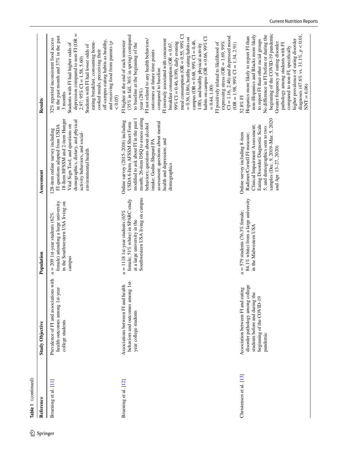| Table 1 (continued)<br>Reference | <b>Study Objective</b>                                                                                                                                | Population                                                                                                                                | Assessment                                                                                                                                                                                                                                                                                                 | Results                                                                                                                                                                                                                                                                                                                                                                                                                                                                                                                                                                                                                                                                                                                                                                     |
|----------------------------------|-------------------------------------------------------------------------------------------------------------------------------------------------------|-------------------------------------------------------------------------------------------------------------------------------------------|------------------------------------------------------------------------------------------------------------------------------------------------------------------------------------------------------------------------------------------------------------------------------------------------------------|-----------------------------------------------------------------------------------------------------------------------------------------------------------------------------------------------------------------------------------------------------------------------------------------------------------------------------------------------------------------------------------------------------------------------------------------------------------------------------------------------------------------------------------------------------------------------------------------------------------------------------------------------------------------------------------------------------------------------------------------------------------------------------|
| Bruening et al. [11]             | Prevalence of FI and associations with<br>health outcomes among 1st-year<br>college students                                                          | female) attending a large university<br>in the Southwestern USA living on<br>$n = 209$ 1st-year students (62%<br>campus                   | 18-Item HFSSM and 2-item Hunger<br>demographics, dietary, and physical<br>Vital Sign Tool; and questions on<br>FI questions adapted from USDA<br>128-item online survey including<br>activity behaviors, and social-<br>environmental health                                                               | depression compared to $non-FI$ (OR $=$<br>in the past month and 37% in the past<br>32% reported inconsistent food access<br>off-campus eating habits as healthy,<br>eating breakfast, consuming home-<br>and receiving food from parents $(p$<br>Students with FI had higher odds of<br>Students with FI had lower odds of<br>cooked meals, perceiving their<br>$2.97; 95\%$ CI = 1.58, 5.60)<br>3 months<br>(0.05)                                                                                                                                                                                                                                                                                                                                                        |
| Bruening et al. [12]             | behaviors and outcomes among 1st-<br>Associations between FI and health<br>year college students                                                      | Southwestern USA living on campus<br>female; 51% white) in SPARC study<br>$= 1118$ 1st-year students (65%<br>at a large university in the | month; 26-item DSQ to assess eating<br>modified to ask about FI in the past 1<br>Online survey (2015-2016) including<br>assessment; questions about mental<br>USDA 6-Item AFSSM Short Form<br>behaviors; questions about alcohol<br>health and depression; and<br>intake; Godin-Shepard PA<br>demographics | (35% in fall, 36% in spring) compared<br>meal consumption (OR = $0.55$ , $99\%$ CI<br>$CI = 1.16, 2.46$ ) and depressed mood<br>$= 0.36, 0.86$ , healthy eating habits on<br>habits on campus (OR = $0.66$ , 99% CI<br>FI not related to any health behaviors/<br>FI inversely associated with concurrent<br>campus (OR = $0.68$ , 99% CI = $0.46$ ,<br>FI higher at the end of each semester<br>99% CI = 0.46, 0.99), daily evening<br>expressing stress (OR = 1.69, 99%<br>breakfast consumption (OR = $0.67$ ,<br>FI positively related to likelihood of<br>to baseline at the beginning of the<br>$(OR = 1.98, 99\% CI = 1.34, 2.91)$<br>1.00), and healthy physical activity<br>outcomes at future time points<br>compared to baseline<br>$= 0.44, 1.00$<br>year (28%) |
| Christensen et al. [13]          | disorder pathology among college<br>Ōΰ<br>Association between FI and eatin<br>students before and during the<br>beginning of the COVID-19<br>pandemic | 84.1% white) from a large university<br>$=$ 579 students (76.3% female;<br>in the Midwestern USA<br>$\boldsymbol{z}$                      | samples (Dec. 9, 2019-Mar. 5, 2020<br>Eating Disorder Diagnostic Scale<br>Clinical Impairment Assessment;<br>5; and demographics sent to two<br>Online survey including 8-item<br>Radimer/Cornell FI measure;<br>and Apr. 13-27, 2020)                                                                     | beginning of the COVID-19 pandemic<br>diagnoses (47.6% vs. 31.1%, $p < 0.01$ ,<br>non-Hispanics and Blacks more likely<br>No difference in FI before or during the<br>Hispanics more likely to report FI than<br>to report FI than other racial groups<br>higher prevalence of eating disorder<br>Greater frequency of eating disorder<br>pathology among students with FI<br>compared to non-FI, specifically<br>$NNT = 6.06$<br>52.8% FI                                                                                                                                                                                                                                                                                                                                  |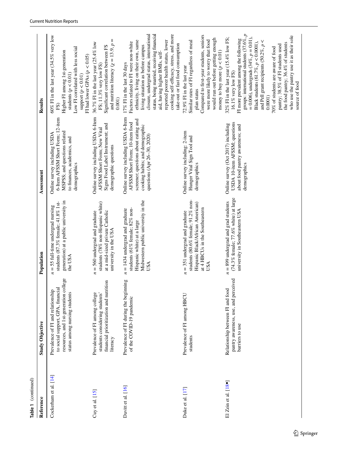| Table 1 (continued)           |                                                                                                                                                  |                                                                                                                                                                   |                                                                                                                                                                                 |                                                                                                                                                                                                                                                                                                                                                                                                                                                                               |
|-------------------------------|--------------------------------------------------------------------------------------------------------------------------------------------------|-------------------------------------------------------------------------------------------------------------------------------------------------------------------|---------------------------------------------------------------------------------------------------------------------------------------------------------------------------------|-------------------------------------------------------------------------------------------------------------------------------------------------------------------------------------------------------------------------------------------------------------------------------------------------------------------------------------------------------------------------------------------------------------------------------------------------------------------------------|
| Reference                     | <b>Study Objective</b>                                                                                                                           | Population                                                                                                                                                        | Assessment                                                                                                                                                                      | Results                                                                                                                                                                                                                                                                                                                                                                                                                                                                       |
| Cockerham et al. [14]         | resources, and 1st-generation college<br>to social support, GPA, financial<br>Prevalence of FI and relationship<br>status among nursing students | generation) at a public university in<br>students (87.3% female; 41.8% 1st-<br>= 55 full-time undergrad nursing<br>the USA<br>z                                   | 6-Item AFSSM Short Form; 12-item<br>MSPSS; and questions related<br>Online survey including USDA<br>to finances, academics, and<br>demographics                                 | 60% FI in the last year (34.5% very low<br>Low FI correlated with less social<br>Higher FI among 1st-generation<br>FI had lower GPAs $(p < 0.05)$<br>students ( $p < 0.01$ )<br>support $(p < 0.01)$<br>FS)                                                                                                                                                                                                                                                                   |
| Cuy et al. $[15]$             | financial prioritization and nutrition<br>students considering students'<br>Prevalence of FI among college<br>literacy                           | students (78% non-Hispanic white)<br>at a mid-sized private Catholic<br>$n = 560$ undergrad and graduate<br>university in the USA                                 | Online survey including USDA 6-Item<br>Signs Food Label Instrument; and<br>AFSSM Short Form; New Vital<br>demographic questions                                                 | and nutrition literacy ( $\chi = 13.9$ , $p =$<br>36.7% FI in the last year (25.4% low<br>Significant correlation between FS<br>FS; 11.3% very low FS)<br>0.001                                                                                                                                                                                                                                                                                                               |
| Davitt et al. [16]            | Prevalence of FI during the beginning<br>of the COVID-19 pandemic                                                                                | Midwestern public university in the<br>students (61% female; 82% non-<br>$= 1434$ undergrad and graduate<br>Hispanic white) at a large<br>USA<br>$\boldsymbol{z}$ | Online survey including USDA 6-Item<br>screener; questions about eating and<br>AFSSM Short Form; 10-item food<br>cooking habits; and demographic<br>questions (Apr 26-30, 2020) | closure, undergrad status, international<br>cooking self-efficacy, stress, and more<br>status, being married, receiving financial<br>reported poorer health status, lower<br>ethnicity, living on their own, same<br>Factors related to FI were non-white<br>take-out or fast food consumption<br>living situation as before campus<br>aid, having higher BMIs, self-<br>17% FI in the last 30 days                                                                           |
| Duke et al. [17]              | Prevalence of FI among HBCU<br>students                                                                                                          | students (80.6% female; 91.2% non-<br>Hispanic Black/African American)<br>at 4 HBCUs in the Southeastern<br>$n = 351$ undergrad and graduate<br>USA               | Online survey including: 2-item<br>Hunger Vital Sign Tool and<br>demographics                                                                                                   | Compared to first-year students, seniors<br>would run out before getting enough<br>were more likely to worry that food<br>Similar rates of FI regardless of meal<br>money to buy more $(p < 0.01)$<br>72.9% FI in the last year<br>plan status                                                                                                                                                                                                                                |
| El Zein et al. $[18 \bullet]$ | pantry awareness, use, and perceived<br>Relationship between FI and food<br>barriers to use                                                      | $(74.3\%$ female; $77.6\%$ white) at large<br>= 899 undergrad and grad students<br>university in Southeastern USA<br>$\boldsymbol{z}$                             | USDA 10-item AFSSM; questions<br>Online survey (Oct 2017) including<br>about food pantry awareness; and<br>demographics                                                         | groups: international students $(37.6\%, p$<br>who use the pantry use it as their sole<br>32% FI in the last year (15.4% low FS;<br>= 0.006), undergrads $(34\%, p = 0.01)$ ,<br>FI more prevalent among the following<br>and Pell grant recipients (50.2%, $p <$<br>Black students (61.7%, $p < 0.0001$ ),<br>the food pantry; 36.4% of students<br>pantry; 38.5% of FI students used<br>70% of students are aware of food<br>16.1% very low FS)<br>source of food<br>0.0001 |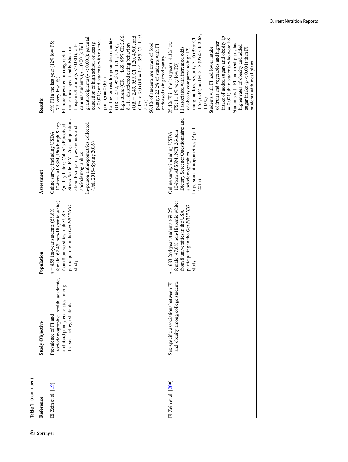| 丝        | Table 1 (continued)           |                                                                                                                              |                                                                                                                                                                        |                                                                                                                                                                                                                                                                      |                                                                                                                                                                                                                                                                                                                                                                                                                                                                                                                                                                                                                                                                                                                                                                          |
|----------|-------------------------------|------------------------------------------------------------------------------------------------------------------------------|------------------------------------------------------------------------------------------------------------------------------------------------------------------------|----------------------------------------------------------------------------------------------------------------------------------------------------------------------------------------------------------------------------------------------------------------------|--------------------------------------------------------------------------------------------------------------------------------------------------------------------------------------------------------------------------------------------------------------------------------------------------------------------------------------------------------------------------------------------------------------------------------------------------------------------------------------------------------------------------------------------------------------------------------------------------------------------------------------------------------------------------------------------------------------------------------------------------------------------------|
| Springer | Reference                     | <b>Study Objective</b>                                                                                                       | Population                                                                                                                                                             | Assessment                                                                                                                                                                                                                                                           | Results                                                                                                                                                                                                                                                                                                                                                                                                                                                                                                                                                                                                                                                                                                                                                                  |
|          | El Zein et al. $[19]$         | sociodemographic, health, academic,<br>and food pantry correlates among<br>1st-year college students<br>Prevalence of FI and | female; 62.4% non-Hispanic white)<br>participating in the Get FRUVED<br>$n = 855$ 1st-year students (68.8%<br>from 8 universities in the USA<br>study                  | Stress Scale; EAT-26; and questions<br>10-item AFSSM; Pittsburgh Sleep<br>In-person anthropometrics collected<br>Quality Index; Cohen's Perceived<br>about food pantry awareness and<br>Online survey including USDA<br>(Fall 2015-Spring 2016)<br>sociodemographics | GPA < $3.0$ (OR = $1.91$ , $95\%$ CI: $1.19$ ,<br>high stress (OR = $4.65$ , $95\%$ CI: 2.66,<br>$(OR = 2.49, 95\%$ CI: 1.20, 4.90), and<br>grant recipients ( $p < 0.001$ ); parental<br>$< 0.001$ ); and students with no meal<br>FI at higher risk for poor sleep quality<br>19% Fl in the last year $(12\%$ low FS;<br>education of high school or less ( $p$<br>8.11), disordered eating behaviors<br>56.4% of students are aware of food<br>campus students $(p = 0.001)$ ; Pell<br>pantry; 22.2% of students with FI<br>Hispanic/Latino $(p < 0.001)$ ; off-<br>$(OR = 2.32, 95\% \text{ CI: } 1.43, 3.76)$<br>minorities, specifically Black or<br>FI more prevalent among racial<br>endorsed using food pantry<br>$plan (p = 0.001)$<br>7% very low FS)<br>3.07 |
|          | El Zein et al. $[20 \bullet]$ | and obesity among college students<br>Sex-specific associations between FI                                                   | female; 47.8% non-Hispanic white)<br>participating in the Get FRUVED<br>$= 683$ 2nd-year students (69.2%)<br>from 8 universities in the USA<br>study<br>$\overline{a}$ | Dietary Screener Questionnaire; and<br>In-person anthropometrics (April<br>10-item AFSSM; NCI 26-item<br>Online survey including USDA<br>sociodemographics<br>2017)                                                                                                  | 1.55, 6.46) and FI 5.13 (95% CI: 2.63,<br>marginal food security 3.16 (95% CI:<br>intake of added sugars and obesity $(p)$<br>$= 0.001$ ) than students who were FS<br>of fruits and vegetables and higher<br>Students with FI and meal plans had<br>25.4% FI in the last year (14.3% low<br>higher rates of obesity and added<br>of obesity compared to high FS:<br>Students with FI had lower intake<br>FI associated with increased odds<br>sugar intake $(p < 0.001)$ than FI<br>students with meal plans<br>FS; 11.1% very low FS)<br>10.00                                                                                                                                                                                                                         |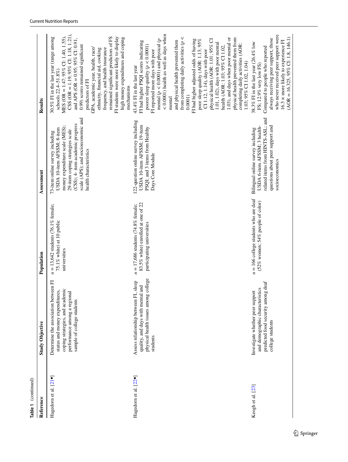| Table 1 (continued)                |                                                                                                                                                                         |                                                                                                             |                                                                                                                                                                                                                                        |                                                                                                                                                                                                                                                                                                                                                                                                                                                                                                                                                                                                                                                                                                                           |
|------------------------------------|-------------------------------------------------------------------------------------------------------------------------------------------------------------------------|-------------------------------------------------------------------------------------------------------------|----------------------------------------------------------------------------------------------------------------------------------------------------------------------------------------------------------------------------------------|---------------------------------------------------------------------------------------------------------------------------------------------------------------------------------------------------------------------------------------------------------------------------------------------------------------------------------------------------------------------------------------------------------------------------------------------------------------------------------------------------------------------------------------------------------------------------------------------------------------------------------------------------------------------------------------------------------------------------|
| Reference                          | <b>Study Objective</b>                                                                                                                                                  | Population                                                                                                  | Assessment                                                                                                                                                                                                                             | Results                                                                                                                                                                                                                                                                                                                                                                                                                                                                                                                                                                                                                                                                                                                   |
| Hagedorn et al. [21 ·              | Determine the association between FI<br>coping strategies, and academic<br>status and money expenditures,<br>performance among a regional<br>sample of college students | $n = 13,642$ students (76.1% female;<br>75.1% white) at 10 public<br>universities                           | scale (APS); and socioeconomic and<br>(CSS); 4- item academic progress<br>money expenditure scale (MES);<br>USDA 10-item AFSSM; 8-item<br>29-item coping strategies scale<br>73-item online survey including<br>health characteristics | $CSS (OR = 1.19; 95\% CI: 1.18, 1.21),$<br>MES (OR = $1.47$ ; 95% CI: 1.40, 1.55),<br>remained significant predictors of FS<br>30.5% FI in the last year (range among<br>FI students were more likely to display<br>high money expenditures and coping<br>and APS (OR = $0.95$ ; $95\%$ CI: 0.91,<br>0.99) scores remained significant<br>GPA, academic year, health, race/<br>frequency, and health insurance<br>ethnicity, financial aid, cooking<br>schools 22.4-51.8%)<br>predictors of FI<br>mechanisms                                                                                                                                                                                                              |
| Hagedorn et al. [22 <sup>.</sup> ] | physical health issues among college<br>sleep<br>and<br>Assess relationship between FI,<br>quality, and days with mental<br>students                                    | 83.5% white) enrolled at one of 22<br>$= 17,686$ students (74.8% female;<br>participating universities<br>z | 122-question online survey including<br>USDA 10-item AFSSM; 19-item<br>PSQI; and 3 items from Healthy<br>Days Core Module                                                                                                              | < 0.0001) health as well as days when<br>from completing daily activities ( $p <$<br>1.03), and days when poor mental or<br>physical health prevented them from<br>mental ( $p < 0.0001$ ) and physical ( $p$<br>FI had higher adjusted odds of having<br>physical health (AOR: 1.01; 95% CI<br>poor sleep quality (AOR: 1.13; 95%<br>FI had higher PSQI scores indicating<br>and physical health prevented them<br>1.01, 1.02), days with poor mental<br>completing daily activities (AOR:<br>poorer sleep quality ( $p < 0.0001$ )<br>health (AOR: 1.03; 95% CI 1.02,<br>FI reported more days with poor<br>CI 1.12, 1.14), days with poor<br>1.03; 95% CI 1.02, 1.04)<br>43.4% FI in the last year<br>0.0001<br>mental |
| Keogh et al. [23]                  | t deaf<br>and demographic characteristics<br>Investigate whether peer support<br>predicted food security among<br>college students                                      | = 166 college students who are deaf<br>(52% women; 54% people of color)<br>z                                | related items from HINTS-ASL; and<br>USDA 6-item AFSSM; 3 health-<br>questions about peer support and<br>Bilingual online survey including<br>socioeconomics                                                                           | who never received peer support were<br>$(AOR = 16.325, 95\%$ CI: 1.8, 146.1)<br>always receiving peer support, those<br>16.3 x more likely to experience FI<br>38.3% FI in the last year (26.4% low<br>Compared to people who reported<br>FS: 12.9% very low FS)                                                                                                                                                                                                                                                                                                                                                                                                                                                         |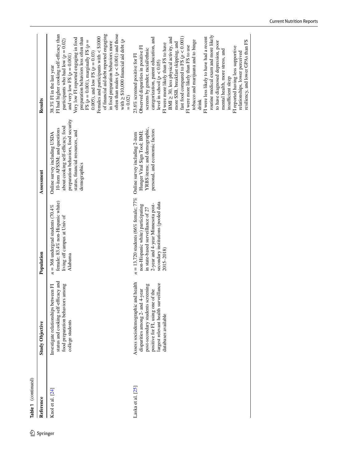| 丝        | Table 1 (continued) |                                                                                                                                                                                                                      |                                                                                                                                                                                                                                          |                                                                                                                                                                                               |                                                                                                                                                                                                                                                                                                                                                                                                                                                                                                                                                                                                                                                                                                                                           |
|----------|---------------------|----------------------------------------------------------------------------------------------------------------------------------------------------------------------------------------------------------------------|------------------------------------------------------------------------------------------------------------------------------------------------------------------------------------------------------------------------------------------|-----------------------------------------------------------------------------------------------------------------------------------------------------------------------------------------------|-------------------------------------------------------------------------------------------------------------------------------------------------------------------------------------------------------------------------------------------------------------------------------------------------------------------------------------------------------------------------------------------------------------------------------------------------------------------------------------------------------------------------------------------------------------------------------------------------------------------------------------------------------------------------------------------------------------------------------------------|
| Springer | Reference           | <b>Study Objective</b>                                                                                                                                                                                               | Population                                                                                                                                                                                                                               | Assessment                                                                                                                                                                                    | Results                                                                                                                                                                                                                                                                                                                                                                                                                                                                                                                                                                                                                                                                                                                                   |
|          | Knol et al. [24]    | status and cooking self-efficacy and<br>food preparation behaviors among<br>Investigate relationships between FI<br>college students                                                                                 | female; 83.4% non-Hispanic white)<br>$n = 368$ undergrad students (70.4%)<br>living off campus at Univ of<br>Alabama                                                                                                                     | preparation behaviors, food security<br>about cooking self-efficacy, food<br>10-item AFSSM; and questions<br>status, financial resources, and<br>Online survey including USDA<br>demographics | FI had higher cooking self-efficacy than<br>often than males ( $p < 0.001$ ) and those<br>of financial aid debt reported engaging<br>Females and participants with $<$ \$1000<br>Very low FI reported engaging in food<br>preparation behaviors less often than<br>participants who had low $(p = 0.02)$<br>with $\geq$ \$10,000 financial aid debt ( <i>p</i><br>FS ( $p = 0.001$ ), marginally FS ( $p =$<br>in food preparation behaviors more<br>0.005), and low FS ( $p = 0.03$ )<br>and very low FS $(p = 0.001)$<br>38.3% FI in the last year<br>$= 0.02$                                                                                                                                                                          |
|          | Laska et al. [25]   | health<br>largest relevant health surveillance<br>post-secondary students screening<br>the<br>disparities among 2- and 4-year<br>Assess sociodemographic and<br>positive for FI, using one of<br>databases available | $n = 13,720$ students (66% female; 77% Online survey including 2-item<br>secondary institutions (pooled data<br>2-year and 4-year Minnesota post-<br>non-Hispanic white) participating<br>in state-based surveillance of 27<br>2015-2018 | YRBS items; and demographic,<br>personal, and economic factors<br>Hunger Vital Sign Tool; BMI;                                                                                                | routine medical exam and more likely<br>fast food compared to FS ( $p < 0.001$ )<br>categorization, parent education, and<br>BMI ≥ 30, less physical activity, and<br>FI were less likely to have had a recent<br>tobacco and marijuana and to binge<br>resiliency, and lower GPAs than FS<br>to have diagnosed depression, poor<br>more SSB, breakfast skipping, and<br>FI were more likely than FS to have<br>FI were more likely than FS to use<br>Observed disparities in positive FI<br>FI reported having less supportive<br>screens by gender, racial/ethnic<br>mental health, more stress, and<br>relationships, lower perceived<br>23.6% screened positive for FI<br>level in school $(p < 0.05)$<br>insufficient sleep<br>drink |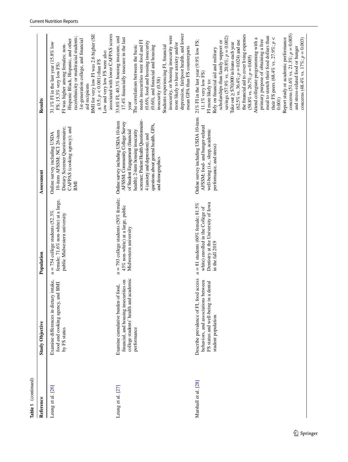| Reference            | <b>Study Objective</b>                                                                                                                         | Population                                                                                                                           | Assessment                                                                                                                                                                                                                                                                                  | Results                                                                                                                                                                                                                                                                                                                                                                                                                                                                                                                                                                                                                                                                                                                                                     |
|----------------------|------------------------------------------------------------------------------------------------------------------------------------------------|--------------------------------------------------------------------------------------------------------------------------------------|---------------------------------------------------------------------------------------------------------------------------------------------------------------------------------------------------------------------------------------------------------------------------------------------|-------------------------------------------------------------------------------------------------------------------------------------------------------------------------------------------------------------------------------------------------------------------------------------------------------------------------------------------------------------------------------------------------------------------------------------------------------------------------------------------------------------------------------------------------------------------------------------------------------------------------------------------------------------------------------------------------------------------------------------------------------------|
| Leung et al. [26]    | Examine differences in dietary intake,<br>BMI<br>food and cooking agency, and<br>by FS status                                                  | female; 71.6% non-white) at a large,<br>$n = 754$ college students (52.3%)<br>public Midwestern university                           | CAFPAS (cooking agency); and<br>Dietary Screener Questionnaire;<br>10-item AFSSM; NCI 26-item<br>Online survey including USDA<br>BMI                                                                                                                                                        | associated with lower CAFPAS scores<br>BMI for very low FI was 2.6 higher (SE<br>race/ethnicity or multiracial students;<br>1st-generation college, and financial<br>Hispanic Black, Hispanic, and other<br>31.1% FI in the last year (15.8% low<br>FI was higher among females; non-<br>Low and very low FS were also<br>$\pm$ 0.5; $p < 0.001$ ) than FS<br>FS; 15.3% very low FS)<br>aid recipients                                                                                                                                                                                                                                                                                                                                                      |
| Leung et al. [27]    | college students' health and academic<br>financial, and housing insecurities on<br>Examine cumulative burden of food,<br>performance           | $n = 793$ college students (50% female;<br>43% non-white) at a large, public<br>Midwestern university                                | screener; Patient Health Questionnaire-<br>Online survey including USDA 10-item<br>AFSSM; Community College Survey<br>questions about general health, GPA,<br>health); 2-item housing insecurity<br>of Student Engagement (financial<br>4 (anxiety and depression); and<br>and demographics | depression, fair/poor health, and lower<br>insecurity, or housing insecurity were<br>33.6% FI, 40.3% housing insecure, and<br>17.4% financially insecure in the last<br>needs insecurities were food and FI<br>(0.69), food and housing insecurity<br>more likely to have anxiety and/or<br>(0.60), and financial and housing<br>The correlations between the basic<br>Students experiencing FI, financial<br>mean GPA than FS counterparts<br>insecurity (0.58)<br>year                                                                                                                                                                                                                                                                                    |
| Marshall et al. [28] | access<br>behaviors, and associations between<br>FS status and well-being in a dental<br>Describe prevalence of FI, food<br>student population | $n = 81$ students (60% female; 81.5%<br>Dentistry at the University of Iowa<br>white) enrolled in the College of<br>in the fall 2019 | Online survey including USDA 10-item<br>AFSSM; food- and hunger-related<br>well-being (i.e., sleep, academic<br>performance, and stress)                                                                                                                                                    | concerns (51.6% vs. 21.3%; $p = 0.005$ )<br>the financial aid to cover living expenses<br>meal to stretch their food dollars than<br>savings $(57.9\%$ vs. $20.8\%; p = 0.002)$<br>their FS peers (68.4% vs. 27.9%; $p <$<br>Report study or academic performance<br>Attend collegiate programming with a<br>concerns (48.4% vs. $17\%$ ; $p = 0.003$ )<br>primary purpose of obtaining a free<br>$21\%$ FI in the last year (9.9% low FS;<br>$(62.5\%$ vs. 36.4%; $p = 0.024$ ) and use<br>scholarships than family support or<br>Take out $\geq$ \$70,000 in loans each year<br>and stress-related food or hunger<br>Rely on financial aid and military<br>$(58.8\% \text{ vs. } 26.7\%; p = 0.005)$<br>11.1% very low FS)<br>FI more likely to:<br>0.001 |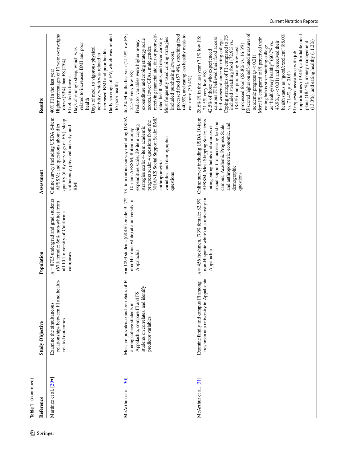|            | Table 1 (continued)   |                                                                                                                                                                      |                                                                                                                                                        |                                                                                                                                                                                                                                                                                         |                                                                                                                                                                                                                                                                                                                                                                                                                                                                                                                                                                                                                                                                                                                                                                                                                                            |
|------------|-----------------------|----------------------------------------------------------------------------------------------------------------------------------------------------------------------|--------------------------------------------------------------------------------------------------------------------------------------------------------|-----------------------------------------------------------------------------------------------------------------------------------------------------------------------------------------------------------------------------------------------------------------------------------------|--------------------------------------------------------------------------------------------------------------------------------------------------------------------------------------------------------------------------------------------------------------------------------------------------------------------------------------------------------------------------------------------------------------------------------------------------------------------------------------------------------------------------------------------------------------------------------------------------------------------------------------------------------------------------------------------------------------------------------------------------------------------------------------------------------------------------------------------|
| 2 Springer | Reference             | <b>Study Objective</b>                                                                                                                                               | Population                                                                                                                                             | Assessment                                                                                                                                                                                                                                                                              | Results                                                                                                                                                                                                                                                                                                                                                                                                                                                                                                                                                                                                                                                                                                                                                                                                                                    |
|            | Martinez et al. [29•] | relationships between FI and health-<br>Examine the simultaneous<br>related outcomes                                                                                 | $= 8705$ undergrad and grad students<br>(67% female; 66% non-white) from<br>all 10 University of California<br>campuses<br>$\overline{\boldsymbol{z}}$ | Online survey including USDA 6-item<br>quality (daily servings of FV), sleep<br>AFSSM; and questions about diet<br>sufficiency, physical activity, and<br>BMI                                                                                                                           | Higher percentages of FI were overweight/<br>Daily servings of FV, which was related<br>related to increased BMI and poor<br>Days of mod. to vigorous physical<br>Days of enough sleep, which was<br>increased BMI and poor health<br>activity, which was related to<br>obese $(33\%)$ than FS $(25\%)$<br>40% FI in the last year<br>FI related to fewer:<br>to poor health<br>health                                                                                                                                                                                                                                                                                                                                                                                                                                                     |
|            | McArthur et al. [30]  | Measure prevalence and correlates of FI<br>students on correlates, and identify<br>Appalachia, compare FI and FS<br>among college students in<br>predictor variables | $n = 1093$ students (68.4% female; 91.7%<br>non-Hispanic white) at a university in<br>Appalachia                                                       | 73-item online survey including USDA<br>NHANES Social Support Scale; BMI/<br>progress scale; 4 questions from the<br>expenditure scale; 29-item coping<br>strategies scale; 4-item academic<br>10-item AFSSM; 8-item money<br>variables; and demographic<br>anthropometric<br>questions | processed food (57.4%), stretching food<br>receiving financial aid, fair or poor self-<br>46.2% FI in the last year (21.9% low FS;<br>$(40.5\%)$ , and eating less healthy meals to<br>Most frequently used coping strategies<br>rated health status, and never cooking<br>expenditure and coping strategy scale<br>Predictor variables were higher money<br>scores, lower GPAs, male gender,<br>included purchasing low-cost,<br>24.3% very low FS)<br>eat more (35.4%)                                                                                                                                                                                                                                                                                                                                                                   |
|            | McArthur et al. [31]  | freshmen at a university in Appalachia<br>Examine family and campus FI among                                                                                         | $n = 456$ freshmen, (73% female; 82.5%<br>non-Hispanic white) at a university in<br>Appalachia                                                         | Online survey including USDA 10-item<br>AFSSM; Meal Skipping Scale; items<br>social support for accessing food on<br>and anthropometric, economic, and<br>campus; Academic Progress Scale;<br>rating eating habits and sources of<br>demographic<br>questions                           | FS scored higher on self-rated measures of<br>health status as "good/excellent" (86.0%<br>opportunities (19.4%), affordable meal<br>Coping strategies of FI compared to FS<br>28.6% FI in the last year (7.1% low FS;<br>campus FI believed their food access<br>More FS compared to FI perceived their<br>had worsened since starting college<br>included stretching food (72.9% vs.<br>$(13.3\%)$ , and eating healthy $(11.2\%)$<br>43.9%, $p < 0.01$ ) and perceived their<br>plans (18.4%), money management<br>as "healthy/very healthy" (60.7% vs.<br>processed food $(68.8\%$ vs. $16.3\%)$<br>eating habits since starting college<br>18.4%) and purchasing low-cost,<br>42.5% of those who experienced<br>FI requested assistance with job<br>academic progress $(p < 0.01)$<br>$21.5\%$ very low FS)<br>vs. 71.4%, $p < 0.01$ ) |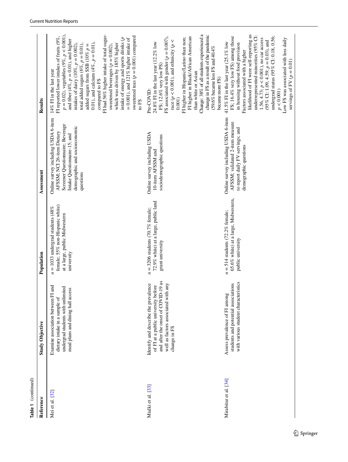| Reference             | <b>Study Objective</b>                                                                                                                                                      | Population                                                                                                           | Assessment                                                                                                                                                                          | Results                                                                                                                                                                                                                                                                                                                                                                                                                                                                                                                                                                                                          |
|-----------------------|-----------------------------------------------------------------------------------------------------------------------------------------------------------------------------|----------------------------------------------------------------------------------------------------------------------|-------------------------------------------------------------------------------------------------------------------------------------------------------------------------------------|------------------------------------------------------------------------------------------------------------------------------------------------------------------------------------------------------------------------------------------------------------------------------------------------------------------------------------------------------------------------------------------------------------------------------------------------------------------------------------------------------------------------------------------------------------------------------------------------------------------|
| Mei et al. [32]       | and<br>undergrad students with unlimited<br>meal plans and dining hall access<br>Examine association between FI<br>dietary intake in a sample of                            | female; 55% non-Hispanic white)<br>$n = 1033$ undergrad students (48%<br>at a large, public Midwestern<br>university | Online survey including USDA 6-item<br>Screener Questionnaire; Beverage<br>demographic and socioeconomic<br>AFSSM; NCI 26-item Dietary<br>Intake Questionnaire-15; and<br>questions | $p = 0.02$ ), vegetables (9%, $p < 0.001$ ),<br>FI had 56% higher intake of total sugar-<br>sweetened teas ( $p = 0.001$ ) compared<br>FI reported lower intakes of fruits (9%,<br>intake of energy and sports drinks $(p$<br>$= 0.001$ ), and 121% higher intake of<br>and fiber (4%, $p = 0.01$ ), and higher<br>0.01), and calcium $(4\%, p = 0.01)$ ,<br>which was driven by 185% higher<br>intakes of dairy (10%, $p = 0.002$ ),<br>total added sugars (6%, $p = 0.01$ ),<br>added sugars from SSB (10% $p =$<br>sweetened beverages ( $p = 0.002$ ),<br>14% FI in the last year<br>compared to FS<br>to FS |
| Mialki et al. [33]    | and after the onset of COVID-19 as<br>Identify and describe the prevalence<br>any<br>of FI at a public university before<br>well as factors associated with<br>change in FS | 72.9% white) at a large, public land<br>$n = 3206$ students (70.7% female;<br>grant university                       | Online survey including USDA<br>sociodemographic questions<br>10-item AFSSM and                                                                                                     | Change: 38% of all students experienced a<br>change in FS as a result of the pandemic<br>FI higher in Black/African American<br>FS associated with gender ( $p = 0.007$ ),<br>FI higher in Hispanic/Latino than non;<br>race ( $p < 0.001$ ), and ethnicity ( $p <$<br>24.8% FI in the last year (12.2% low<br>$(59.6\%$ became less FS and 40.4%<br>FS; 12.6% very low PS)<br>than white or Asian<br>became more FS)<br>Pre-COVID:<br>0.001                                                                                                                                                                     |
| Mirabitur et al. [34] | with various student characteristics<br>students and potential associations<br>Assess prevalence of FI among                                                                | 65.6% white) at a large, Midwestern,<br>$n = 514$ students (72.2% female;<br>public university                       | Online survey including USDA 6-item<br>AFSSM; validated 2-item measure<br>to report daily FV servings; and<br>demographic questions                                                 | likelihood of FI were self-reporting as<br>underrepresented minorities (95% CI:<br>FS; 16.4% very low FS) among those<br>undergrad status (95% CI: 0.18, 0.56;<br>1.56, 4.73; $p < 0.001$ ), no car access<br>Low FS was associated with less daily<br>(95% CI: 1.09, 4.59; $p = 0.03$ ), and<br>41.5% FI in the last year (25.1% low<br>in housing without food provision<br>Factors associated with a higher<br>servings of FV $(p = 0.01)$<br>$p<0.001$ )                                                                                                                                                     |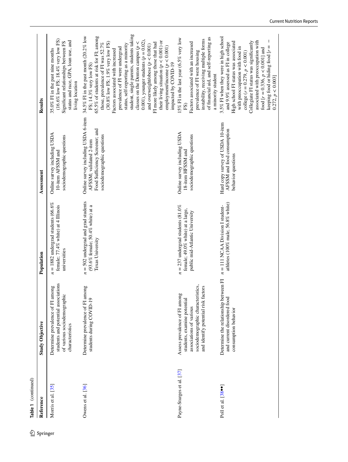|            | Table 1 (continued)             |                                                                                                                                                                           |                                                                                                           |                                                                                                                                |                                                                                                                                                                                                                                                                                                                                                                                                                                                                                                                                                                                                                            |
|------------|---------------------------------|---------------------------------------------------------------------------------------------------------------------------------------------------------------------------|-----------------------------------------------------------------------------------------------------------|--------------------------------------------------------------------------------------------------------------------------------|----------------------------------------------------------------------------------------------------------------------------------------------------------------------------------------------------------------------------------------------------------------------------------------------------------------------------------------------------------------------------------------------------------------------------------------------------------------------------------------------------------------------------------------------------------------------------------------------------------------------------|
| 2 Springer | Reference                       | <b>Study Objective</b>                                                                                                                                                    | Population                                                                                                | Assessment                                                                                                                     | Results                                                                                                                                                                                                                                                                                                                                                                                                                                                                                                                                                                                                                    |
|            | Morris et al. [35]              | students and potential associations<br>Determine prevalence of FI among<br>of various sociodemographic<br>characteristics                                                 | $n = 1882$ undergrad students (66.6%<br>female; 77.4% white) at 4 Illinois<br>universities                | Online survey including USDA<br>sociodemographic questions<br>10-item AFSSM and                                                | $(16.6\%$ low FS; 18.4% very low FS)<br>status and race, GPA, loan use, and<br>Significant relationships between FS<br>35.0% FI in the past nine months<br>living location                                                                                                                                                                                                                                                                                                                                                                                                                                                 |
|            | Owens et al. [36]               | nong<br>Determine prevalence of FI an<br>students during COVID-19                                                                                                         | $n = 502$ undergrad and grad students<br>(93.6% female; 50.4% white) at a<br>Texas University             | Online survey including USDA 6-item<br>Food Sufficiency Screener; and<br>sociodemographic questions<br>AFSSM; validated 2-item | student, single parents, students taking<br>65.5% of students at risk for FI; among<br>34.5% FI in the past month (20.2% low<br>0.001), younger students ( $p = 0.02$ ),<br>their living situation ( $p < 0.001$ ) or<br>$(30.8\%$ low FS; 1.9% very low FS)<br>classes on the Denton campus $(p <$<br>those, prevalence of FI was 52.7%<br>FI more likely among those that had<br>status, self-reporting as a minority<br>and overweight/obese $(p < 0.001)$<br>employment/income $(p < 0.001)$<br>prevalence of FI were undergrad<br>Factors associated with increased<br>impacted by COVID-19<br>FS; 14.3% very low FS) |
|            | Payne-Sturges et al. [37]       | sociodemographic characteristics,<br>and identify potential risk factors<br>bn<br>Assess prevalence of FI among<br>students, examine potential<br>associations of various | $n = 237$ undergrad students (81.0%<br>female; 49.0% white) at a large,<br>public mid-Atlantic University | Online survey including USDA<br>sociodemographic questions<br>18-item HFSSM and                                                | of financial aid, and self-reporting as<br>15% FI in the last year (6.5% very low<br>instability, receiving multiple forms<br>Factors associated with an increased<br>prevalence of FI were housing<br>a minority student<br>FS)                                                                                                                                                                                                                                                                                                                                                                                           |
|            | Poll et al. $[38\cdot \bullet]$ | Determine the relationship between FI<br>and current disordered food<br>consumption behavior                                                                              | athletes (100% male; 56.8% white)<br>$n = 111$ NCAA Division I student-                                   | Hard copy survey of USDA 10-item<br>AFSSM and food consumption<br>behavior questions                                           | 3.5% FI when they were in high school<br>associated with preoccupation with<br>Collegiate FI status was significantly<br>High school FI status was associated<br>and 9.9% assessed as FI in college<br>keeping food or hiding food $ r =$<br>with preoccupation with food in<br>food $[r = 0.336, p < 0.001]$ and<br>college $(r = 0.279, p < 0.001)$<br>0.272, p < 0.003                                                                                                                                                                                                                                                  |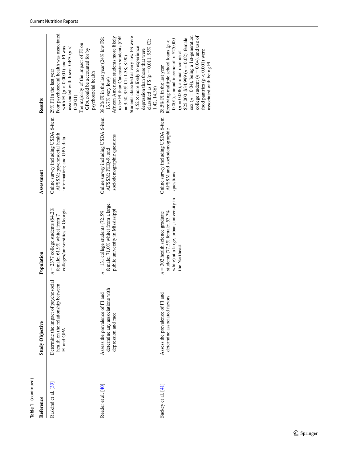| Table 1 (continued)  |                                                                                           |                                                                                                                                   |                                                                                                                               |                                                                                                                                                                                                                                                                                                                                                         |
|----------------------|-------------------------------------------------------------------------------------------|-----------------------------------------------------------------------------------------------------------------------------------|-------------------------------------------------------------------------------------------------------------------------------|---------------------------------------------------------------------------------------------------------------------------------------------------------------------------------------------------------------------------------------------------------------------------------------------------------------------------------------------------------|
| Reference            | <b>Study Objective</b>                                                                    | Population                                                                                                                        | Assessment                                                                                                                    | Results                                                                                                                                                                                                                                                                                                                                                 |
| Raskind et al. [39]  | Determine the impact of psychosocial<br>health on the relationship between<br>FI and GPA  | $n = 2377$ college students (64.2%)<br>colleges/universities in Georgia<br>female; 61.9% white) from 7                            | Online survey including USDA 6-item 29% FI in the last year<br>AFSSM; psychosocial health<br>information; and GPA data        | Poor psychosocial health was associated<br>The majority of the impact of FI on<br>with FI ( $p < 0.0001$ ) and FI was<br>associated with lower GPA ( $p <$<br>GPA could be accounted for by<br>psychosocial health<br>$0.0001$ )                                                                                                                        |
| Reeder et al. [40]   | determine any associations with<br>Assess the prevalence of FI and<br>depression and race | female; 71.0% white) from a large,<br>public university in Mississippi<br>$n = 131$ college students (72.5%)                      | Online survey including USDA 6-item 38.2% FI in the last year (24% low FS:<br>sociodemographic questions<br>AFSSM; PHQ-9; and | to be FI than Caucasian students (OR<br>African American students more likely<br>Students classified as very low FS were<br>classified as FS $(p = 0.011, 95\%$ C1:<br>4.52 × more likely to experience<br>depression than those that were<br>$= 3.50, 95\%$ CI: 1.38, 8.90)<br>13.7% very low)<br>1.42, 14.36)                                         |
| Sackey et al. $[41]$ | Assess the prevalence of FI and<br>determine associated factors                           | white) at a large, urban, university in<br>students $(77.5\%$ female; 53.7%<br>$n = 302$ health science graduate<br>the Northeast | Online survey including USDA 6-item<br>AFSSM and sociodemographic<br>questions                                                | sex ( $p = 0.04$ ), being a 1st-generation<br>college student ( $p = 0.04$ ), and use of<br>$$25,000-$34,999 (p = 0.02)$ , female<br>0.001), annual income of $\lt$ \$25,000<br>Receiving multiple school loans ( $p <$<br>food pantries $(p < 0.001)$ were<br>$(p = 0.006)$ , amual income of<br>associated with being FI<br>28.5% FI in the last year |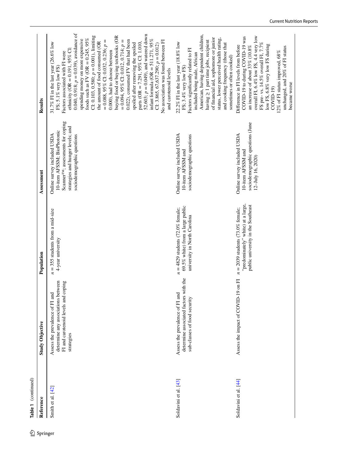| Table 1 (continued)<br>Reference | <b>Study Objective</b>                                                                                                     | Population                                                                                                     | Assessment                                                                                                                                                                     | Results                                                                                                                                                                                                                                                                                                                                                                                                                                                                                                                                                                                                                                                                                                                                                                                                                        |
|----------------------------------|----------------------------------------------------------------------------------------------------------------------------|----------------------------------------------------------------------------------------------------------------|--------------------------------------------------------------------------------------------------------------------------------------------------------------------------------|--------------------------------------------------------------------------------------------------------------------------------------------------------------------------------------------------------------------------------------------------------------------------------------------------------------------------------------------------------------------------------------------------------------------------------------------------------------------------------------------------------------------------------------------------------------------------------------------------------------------------------------------------------------------------------------------------------------------------------------------------------------------------------------------------------------------------------|
| Smith et al. [42]                | determine any associations between<br>FI and carotenoid levels and coping<br>Assess the prevalence of FI and<br>strategies | $n = 355$ students from a mid-size<br>4-year university                                                        | Scanner <sup>TM</sup> ; assessments for coping<br>strategies and hunger levels; and<br>10-item AFSSM; BioPhotonic<br>Online survey included USDA<br>sociodemographic questions | 0.040, 0.918; $p = 0.039$ ), avoidance of<br>52.603; $p = 0.049$ ), and watered down<br>buying food or buying textbooks (OR<br>CI: 0.103, 0.580; $p = 0.001$ ), limiting<br>foods such as FV (OR = $0.245$ , $95\%$<br>spending money on more expensive<br>infant formula (OR = $511.271,95\%$<br>$= 0.094, 95\%$ CI: 0.012, 0.714; $p =$<br>0.022), consumed FV that had been<br>No association was found between FI<br>$= 0.088, 95\%$ CI: 0.032, 0.236; $p =$<br>the amount of food consumed (OR<br>31.7% FI in the last year (26.6% low<br>parts (OR = $7.291,95\%$ CI: 1.010,<br>spoiled after removing the spoiled<br>CI: 3.865, 67,637.290; $p = 0.012$ )<br>ethnicity (OR = $0.191$ , $95\%$ CI:<br>0.000), had to choose between<br>Factors associated with FI were<br>FS; 5.1% very low FS)<br>and carotenoid levels |
| Soldavini et al. [43]            | determine associated factors with the<br>Assess the prevalence of FI and<br>sub-classes of food security                   | 69.5% white) from a large public<br>$n = 4829$ students (72.0% female;<br>university in North Carolina         | Online survey included USDA<br>sociodemographic questions<br>10-item AFSSM and                                                                                                 | American, having dependent children,<br>of financial aid, sophomore or junior<br>status, lower perceived health rating,<br>having $\geq 1$ part time jobs, recipient<br>22.2% FI in the last year (18.8% low<br>and cooking frequency (those that<br>Factors significantly related to FI<br>included being male, African<br>sometimes or often cooked)<br>FS; 3.4% very low FS)                                                                                                                                                                                                                                                                                                                                                                                                                                                |
| Soldavini et al. [44]            | $19$ on $FI$<br>Assess the impact of COVID-                                                                                | "predominately" white) at a large,<br>public university in the Southeast<br>$n = 2039$ students (73.0% female; | sociodemographic questions (June<br>Online survey included USDA<br>10-item AFSSM and<br>12-July 16, 2020)                                                                      | overall FI, 6.4% low FS, 4.4 very low<br>COVID-19 to during COVID-19 was<br>FS pre- vs. 14.5% overall FI, 7.7%<br>low FS, 6.8% very low FS during<br>Difference in FI levels from before<br>an increase of about 33% (10.8%<br>unchanged, and 20% of FI status<br>12% of FI status improved, 68%<br>became worse<br>$COVID-19$                                                                                                                                                                                                                                                                                                                                                                                                                                                                                                 |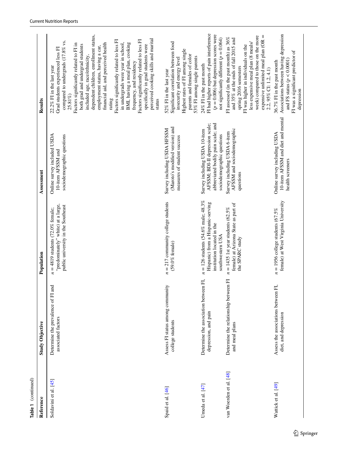| Table 1 (continued)     |                                                               |                                                                                                                               |                                                                                                                                      |                                                                                                                                                                                                                                                                                                                                                                                                                                                                                                                                                                                                                                                    |
|-------------------------|---------------------------------------------------------------|-------------------------------------------------------------------------------------------------------------------------------|--------------------------------------------------------------------------------------------------------------------------------------|----------------------------------------------------------------------------------------------------------------------------------------------------------------------------------------------------------------------------------------------------------------------------------------------------------------------------------------------------------------------------------------------------------------------------------------------------------------------------------------------------------------------------------------------------------------------------------------------------------------------------------------------------|
| Reference               | <b>Study Objective</b>                                        | Population                                                                                                                    | Assessment                                                                                                                           | Results                                                                                                                                                                                                                                                                                                                                                                                                                                                                                                                                                                                                                                            |
| Soldavini et al. [45]   | and<br>Determine the prevalence of FI<br>associated factors   | "predominately" white) at a large,<br>public university in the Southeast<br>$n = 4819$ students (72.0% female;                | Online survey included USDA<br>sociodemographic questions<br>10-item AFSSM and                                                       | dependent children, enrollment status,<br>perceived cooking skills and marital<br>Factors significantly related to less FI<br>Factors significantly related to less FI<br>compared to undergrads (17.8% vs.<br>in undergrads were year in school,<br>BMI, having a meal plan, cooking<br>financial aid, and perceived health<br>Factors significantly related to FI in<br>both grad and undergrad students<br>specifically in grad students were<br>employment status, having a car,<br>Grad students experienced less FI<br>included age, race/ethnicity,<br>frequency, and residency<br>22.2% FI in the last year<br>25.81%)<br>rating<br>status |
| Spaid et al. [46]       | Assess FI status among community<br>college students          | $n = 217$ community college students<br>$(59.0\%$ female)                                                                     | (Maroto's modified version) and<br>Survey including USDA HFSSM<br>measures of student success                                        | Significant correlation between food<br>Highest rates of FI among single<br>parents and females of color<br>53% FI among single parents<br>insecurity and energy level<br>52% FI in the last year                                                                                                                                                                                                                                                                                                                                                                                                                                                  |
| Umeda et al. [47]       | Determine the association between FI,<br>depression, and pain | $n = 126$ students (54.6% male; 48.3%)<br>Hispanic) from a Hispanic-serving<br>institution located in the<br>southwestern USA | abbreviated bodily pain scale; and<br>AFSSM; BDI-II depression scale;<br>Survey including USDA 10-item<br>sociodemographic questions | FI had higher reports of pain interference<br>$(p = 0.006)$ but depression scores were<br>not significantly different ( $p = 0.064$ )<br>$24\%$ FI in the past month                                                                                                                                                                                                                                                                                                                                                                                                                                                                               |
| van Woerden et al. [48] | Determine the relationship between FI<br>and meal plans       | female) at Arizona State as part of<br>$n = 1435$ 1st year students (62.5%)<br>the SPARC study                                | AFSSM and sociodemographic<br>Survey including USDA 6-item<br>questions                                                              | week) compared to those on the more<br>expensive unlimited meal plan ( $OR =$<br>FI assessed (in the past month) as 36%<br>and 35% at the ends of fall 2015 and<br>less expensive meal plan (8 meals/<br>FI was higher in individuals on the<br>spring 2016 semesters<br>2.2, 95% CI: 1.2, 4.1)                                                                                                                                                                                                                                                                                                                                                    |
| Wattick et al. [49]     | E,<br>Assess the associations between<br>diet, and depression | female) at West Virginia University<br>$= 1956$ college students (67.5%<br>$\overline{\boldsymbol{z}}$                        | 10-item AFSSM and diet and mental<br>Online survey including USDA<br>health screeners                                                | Associations between having depression<br>FI was a significant predictor of<br>and FS status $(p < 0.0001)$<br>36.7% FI in the past month<br>depression                                                                                                                                                                                                                                                                                                                                                                                                                                                                                            |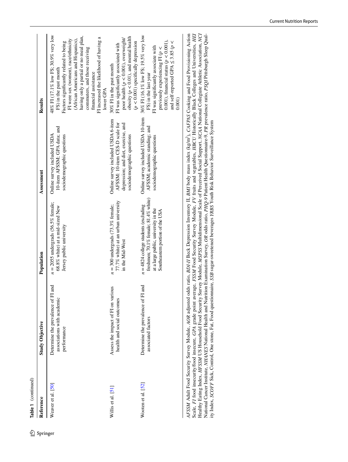| Reference            | <b>Study Objective</b>                                                          | Population                                                                                                                                                | Assessment                                                                                                                                | Results                                                                                                                                                                                                                                                                                                                                          |
|----------------------|---------------------------------------------------------------------------------|-----------------------------------------------------------------------------------------------------------------------------------------------------------|-------------------------------------------------------------------------------------------------------------------------------------------|--------------------------------------------------------------------------------------------------------------------------------------------------------------------------------------------------------------------------------------------------------------------------------------------------------------------------------------------------|
| Weaver et al. [50]   | Determine the prevalence of FI and<br>associations with academic<br>performance | $n = 2055$ undergrads (56.5% female;<br>68.8% white) at a mid-sized New<br>Jersey public university                                                       | 10-item AFSSM; GPA data; and<br>Online survey included USDA<br>sociodemographic questions                                                 | 48% FI (17.1% low FS; 30.9% very low<br>having only a partial or no meal plan,<br>FI increased the likelihood of having a<br>(African Americans and Hispanics),<br>FI were sex (women), race/ethnicity<br>Factors significantly related to being<br>commuters, and those receiving<br>FS) in the past month<br>financial assistance<br>lower GPA |
| Willis et al. [51]   | Assess the impact of FI on various<br>health and social outcomes                | 77.7% white) at an urban university<br>$n = 300$ undergrads (73.3% female;<br>in the Mid-West                                                             | Online survey included USDA 6-item<br>AFSSM: 10-item CES-D scale for<br>depression; and diet, exercise, and<br>sociodemographic questions | obesity ( $p < 0.01$ ), and mental health<br>poor health ( $p < 0.001$ ), overweight/<br>$(p < 0.001)$ specifically depression<br>FI was significantly associated with<br>30% FI in the past month                                                                                                                                               |
| Wooten et al. $[52]$ | Determine the prevalence of FI and<br>associated factors                        | freshmen; 70.1% female; 81.4% white)<br>$n = 4824$ college students (excluding<br>at a large public, university in the<br>Southeastern portion of the USA | Online survey included USDA 10-item<br>AFSSM; academic standing; and<br>sociodemographic questions                                        | 36% FI (16.1% low FS; 19.5% very low<br>0.001), financial status ( $p < 0.001$ ),<br>and self-reported GPA $\leq$ 3.85 ( $p <$<br>FI was significantly associate with<br>previously experiencing FI ( $p <$<br>FS) in the last year<br>0.001)                                                                                                    |

AFSSM Adult Food Security Survey Module, AOR adjusted odds ratio, BDI-II Beck Depression Inventory II, BMI body mass index (kg/m<sup>2</sup>), CAFPAS Cooking and Food Provisioning Action<br>Scale, FI food insecurity/food insecure, GPA *AFSSM* Adult Food Security Survey Module, *AOR* adjusted odds ratio, *BDI-II* Beck Depression Inventory II, *BMI* body mass index (kg/m2), *CAFPAS* Cooking and Food Provisioning Action Scale, *FI* food insecurity/food insecure, *GPA* grade point average, *FSSM* Food Security Survey Module, *FV* fruits and vegetables, *HBCU* Historically Black Colleges and Universities, *HEI* Healthy Eating Index, *HFSSM* US Household Food Security Survey Module, *MSPSS* Multidimensional Scale of Perceived Social Support, *NCAA* National Collegiate Athletic Association, *NCI* National Cancer Institute, *NHANES* National Health and Nutrition Examination Survey, *OR* odds ratio, *PHQ-9* Patient Health Questionnaire-9, *PR* prevalence ratio, *PSQI* Pittsburgh Sleep Quality Index, *SCOFF* Sick, Control, One stone, Fat, Food questionnaire, *SSB* sugar-sweetened beverages *YRBS* Youth Risk Behavior Surveillance System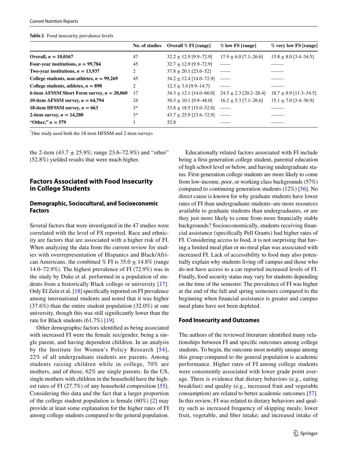<span id="page-17-0"></span>

|                                              | No. of studies | Overall % FI [range]                                   | % low FS [range]          | % very low FS [range]      |
|----------------------------------------------|----------------|--------------------------------------------------------|---------------------------|----------------------------|
| Overall, $n = 10,0167$                       | 47             | $32.2 \pm 12.9$ [9.9–72.9]                             | $17.9 \pm 6.0$ [7.1-26.6] | $15.8 \pm 8.0$ [3.4-34.5]  |
| Four-year institutions, $n = 99,784$         | 45             | $32.7 \pm 12.9$ [9.9–72.9]                             |                           |                            |
| Two-year institutions, $n = 13,937$          | 2              | $37.8 \pm 20.1$ [23.6–52]                              |                           |                            |
| College students, non-athletes, $n = 99,269$ | 45             | $34.2 \pm 12.4$ [14.0-72.9]                            |                           |                            |
| College students, athletes, $n = 898$        | 2              | $12.3 \pm 3.4$ [9.9-14.7]                              |                           |                            |
| 6-item AFSSM Short Form survey, $n = 20,060$ | 17             | $34.3 \pm 12.1$ [14.0–60.0] $24.5 \pm 2.3$ [20.2–26.4] |                           | $18.7 \pm 8.9$ [11.3-34.5] |
| 10-item AFSSM survey, $n = 64,794$           | 24             | $30.3 \pm 10.1$ [9.9–48.0]                             | $16.2 \pm 5.3$ [7.1–26.6] | $15.1 \pm 7.0$ [3.4-30.9]  |
| 18-item HFSSM survey, $n = 663$              | $3*$           | $33.8 \pm 18.5$ [15.0–52.0]                            |                           |                            |
| 2-item survey, $n = 14,280$                  | $3*$           | $43.7 \pm 25.9$ [23.6–72.9] -                          |                           |                            |
| "Other," $n = 579$                           |                | 52.8                                                   |                           |                            |

\* One study used both the 18-item HFSSM and 2-item surveys

the 2-item (43.7  $\pm$  25.9%; range 23.6–72.9%) and "other" (52.8%) yielded results that were much higher.

# **Factors Associated with Food Insecurity in College Students**

#### **Demographic, Sociocultural, and Socioeconomic Factors**

Several factors that were investigated in the 47 studies were correlated with the level of FS reported. Race and ethnicity are factors that are associated with a higher risk of FI. When analyzing the data from the current review for studies with overrepresentation of Hispanics and Black/African Americans, the combined % FI is  $35.0 \pm 14.8\%$  (range 14.0–72.9%). The highest prevalence of FI (72.9%) was in the study by Duke et al. performed in a population of students from a historically Black college or university [[17\]](#page-20-4). Only El Zein et al. [[18](#page-20-5)] specifcally reported on FI prevalence among international students and noted that it was higher (37.6%) than the entire student population (32.0%) at one university, though this was still signifcantly lower than the rate for Black students (61.7%) [[19\]](#page-20-6).

Other demographic factors identifed as being associated with increased FI were the female sex/gender, being a single parent, and having dependent children. In an analysis by the Institute for Women's Policy Research [[54\]](#page-21-21), 22% of all undergraduate students are parents. Among students raising children while in college, 70% are mothers, and of these, 62% are single parents. In the US, single mothers with children in the household have the highest rates of FI (27.7%) of any household composition [\[55](#page-21-22)]. Considering this data and the fact that a larger proportion of the college student population is female (60%) [[2\]](#page-19-1) may provide at least some explanation for the higher rates of FI among college students compared to the general population.

Educationally related factors associated with FI include being a frst-generation college student, parental education of high school level or below, and having undergraduate status. First-generation college students are more likely to come from low-income, poor, or working class backgrounds (57%) compared to continuing generation students (12%) [[56\]](#page-21-23). No direct cause is known for why graduate students have lower rates of FI than undergraduate students–are more resources available to graduate students than undergraduates, or are they just more likely to come from more fnancially stable backgrounds? Socioeconomically, students receiving fnancial assistance (specifcally Pell Grants) had higher rates of FI. Considering access to food, it is not surprising that having a limited meal plan or no meal plan was associated with increased FI. Lack of accessibility to food may also potentially explain why students living off campus and those who do not have access to a car reported increased levels of FI. Finally, food security status may vary for students depending on the time of the semester. The prevalence of FI was higher at the end of the fall and spring semesters compared to the beginning when fnancial assistance is greater and campus meal plans have not been depleted.

#### **Food Insecurity and Outcomes**

The authors of the reviewed literature identifed many relationships between FI and specifc outcomes among college students. To begin, the outcome most notably unique among this group compared to the general population is academic performance. Higher rates of FI among college students were consistently associated with lower grade point average. There is evidence that dietary behaviors (e.g., eating breakfast) and quality (e.g., increased fruit and vegetable consumption) are related to better academic outcomes [\[57](#page-21-24)]. In this review, FI was related to dietary behaviors and quality such as increased frequency of skipping meals; lower fruit, vegetable, and fber intake; and increased intake of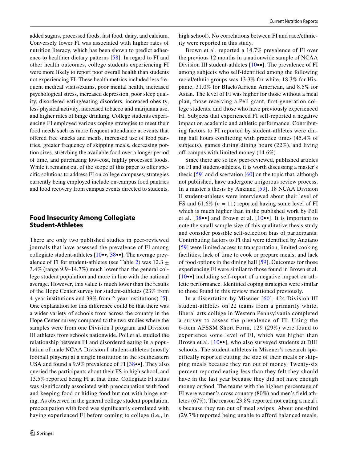added sugars, processed foods, fast food, dairy, and calcium. Conversely lower FI was associated with higher rates of nutrition literacy, which has been shown to predict adherence to healthier dietary patterns [[58\]](#page-21-25). In regard to FI and other health outcomes, college students experiencing FI were more likely to report poor overall health than students not experiencing FI. These health metrics included less frequent medical visits/exams, poor mental health, increased psychological stress, increased depression, poor sleep quality, disordered eating/eating disorders, increased obesity, less physical activity, increased tobacco and marijuana use, and higher rates of binge drinking. College students experiencing FI employed various coping strategies to meet their food needs such as more frequent attendance at events that ofered free snacks and meals, increased use of food pantries, greater frequency of skipping meals, decreasing portion sizes, stretching the available food over a longer period of time, and purchasing low-cost, highly processed foods. While it remains out of the scope of this paper to offer specifc solutions to address FI on college campuses, strategies currently being employed include on-campus food pantries and food recovery from campus events directed to students.

# **Food Insecurity Among Collegiate Student‑Athletes**

There are only two published studies in peer-reviewed journals that have assessed the prevalence of FI among collegiate student-athletes [[10](#page-20-2)••, [38•](#page-21-1)•]. The average prev-alence of FI for student-athletes (see Table [2\)](#page-17-0) was  $12.3 \pm$ 3.4% (range 9.9–14.7%) much lower than the general college student population and more in line with the national average. However, this value is much lower than the results of the Hope Center survey for student-athletes (23% from 4-year institutions and 39% from 2-year institutions) [[5](#page-19-4)]. One explanation for this diference could be that there was a wider variety of schools from across the country in the Hope Center survey compared to the two studies where the samples were from one Division I program and Division III athletes from schools nationwide. Poll et al. studied the relationship between FI and disordered eating in a population of male NCAA Division I student-athletes (mostly football players) at a single institution in the southeastern USA and found a 9.9% prevalence of FI [[38](#page-21-1)••]. They also queried the participants about their FS in high school, and 13.5% reported being FI at that time. Collegiate FI status was signifcantly associated with preoccupation with food and keeping food or hiding food but not with binge eating. As observed in the general college student population, preoccupation with food was signifcantly correlated with having experienced FI before coming to college (i.e., in high school). No correlations between FI and race/ethnicity were reported in this study.

Brown et al. reported a 14.7% prevalence of FI over the previous 12 months in a nationwide sample of NCAA Division III student-athletes [[10•](#page-20-2)•]. The prevalence of FI among subjects who self-identifed among the following racial/ethnic groups was 13.3% for white, 18.3% for Hispanic, 31.0% for Black/African American, and 8.5% for Asian. The level of FI was higher for those without a meal plan, those receiving a Pell grant, frst-generation college students, and those who have previously experienced FI. Subjects that experienced FI self-reported a negative impact on academic and athletic performance. Contributing factors to FI reported by student-athletes were dining hall hours conficting with practice times (45.4% of subjects), games during dining hours (22%), and living off-campus with limited money  $(14.6\%).$ 

Since there are so few peer-reviewed, published articles on FI and student-athletes, it is worth discussing a master's thesis [\[59\]](#page-21-26) and dissertation [[60](#page-21-27)] on the topic that, although not published, have undergone a rigorous review process. In a master's thesis by Anziano [[59\]](#page-21-26), 18 NCAA Division II student-athletes were interviewed about their level of FS and  $61.6\%$  ( $n = 11$ ) reported having some level of FI which is much higher than in the published work by Poll et al.  $[38\bullet\bullet]$  $[38\bullet\bullet]$  $[38\bullet\bullet]$  and Brown et al.  $[10\bullet\bullet]$  $[10\bullet\bullet]$  $[10\bullet\bullet]$ . It is important to note the small sample size of this qualitative thesis study and consider possible self-selection bias of participants. Contributing factors to FI that were identifed by Anziano [[59\]](#page-21-26) were limited access to transportation, limited cooking facilities, lack of time to cook or prepare meals, and lack of food options in the dining hall [[59](#page-21-26)]. Outcomes for those experiencing FI were similar to those found in Brown et al. [[10](#page-20-2)••] including self-report of a negative impact on athletic performance. Identifed coping strategies were similar to those found in this review mentioned previously.

In a dissertation by Misener [[60\]](#page-21-27), 424 Division III student-athletes on 22 teams from a primarily white, liberal arts college in Western Pennsylvania completed a survey to assess the prevalence of FI. Using the 6-item AFSSM Short Form, 129 (29%) were found to experience some level of FI, which was higher than Brown et al. [[10](#page-20-2)••], who also surveyed students at DIII schools. The student-athletes in Misener's research specifically reported cutting the size of their meals or skipping meals because they ran out of money. Twenty-six percent reported eating less than they felt they should have in the last year because they did not have enough money or food. The teams with the highest percentage of FI were women's cross country (80%) and men's field athletes (67%). The reason 23.8% reported not eating a meal i s because they ran out of meal swipes. About one-third (29.7%) reported being unable to afford balanced meals.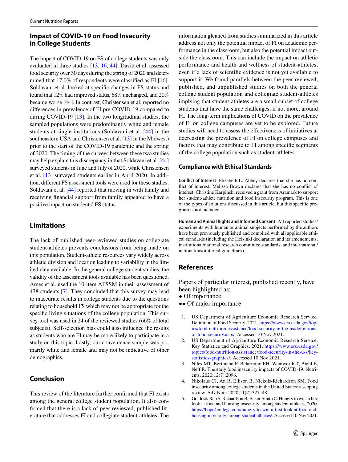# **Impact of COVID‑19 on Food Insecurity in College Students**

The impact of COVID-19 on FS of college students was only evaluated in three studies [[13,](#page-20-16) [16,](#page-20-23) [44\]](#page-21-4). Davitt et al. assessed food security over 30 days during the spring of 2020 and determined that 17.0% of respondents were classifed as FI [\[16](#page-20-23)]. Soldavani et al. looked at specifc changes in FS status and found that 12% had improved status, 68% unchanged, and 20% became worse [[44\]](#page-21-4). In contrast, Christensen et al. reported no diferences in prevalence of FI pre-COVID-19 compared to during COVID-19 [[13\]](#page-20-16). In the two longitudinal studies, the sampled populations were predominantly white and female students at single institutions (Soldavani et al. [[44\]](#page-21-4) in the southeastern USA and Christensen et al. [[13](#page-20-16)] in the Midwest) prior to the start of the COVID-19 pandemic and the spring of 2020. The timing of the surveys between these two studies may help explain this discrepancy in that Soldavani et al. [\[44\]](#page-21-4) surveyed students in June and July of 2020, while Christensen et al. [\[13](#page-20-16)] surveyed students earlier in April 2020. In addition, diferent FS assessment tools were used for these studies. Soldavani et al. [[44\]](#page-21-4) reported that moving in with family and receiving fnancial support from family appeared to have a positive impact on students' FS status.

# **Limitations**

The lack of published peer-reviewed studies on collegiate student-athletes prevents conclusions from being made on this population. Student-athlete resources vary widely across athletic division and location leading to variability in the limited data available. In the general college student studies, the validity of the assessment tools available has been questioned. Ames et al. used the 10-item AFSSM in their assessment of 478 students [[7\]](#page-20-21). They concluded that this survey may lead to inaccurate results in college students due to the questions relating to household FS which may not be appropriate for the specifc living situations of the college population. This survey tool was used in 24 of the reviewed studies (66% of total subjects). Self-selection bias could also infuence the results as students who are FI may be more likely to participate in a study on this topic. Lastly, our convenience sample was primarily white and female and may not be indicative of other demographics.

# **Conclusion**

This review of the literature further confrmed that FI exists among the general college student population. It also confrmed that there is a lack of peer-reviewed, published literature that addresses FI and collegiate student-athletes. The information gleaned from studies summarized in this article address not only the potential impact of FI on academic performance in the classroom, but also the potential impact outside the classroom. This can include the impact on athletic performance and health and wellness of student-athletes, even if a lack of scientifc evidence is not yet available to support it. We found parallels between the peer-reviewed, published, and unpublished studies on both the general college student population and collegiate student-athletes implying that student-athletes are a small subset of college students that have the same challenges, if not more, around FI. The long-term implications of COVID on the prevalence of FI on college campuses are yet to be explored. Future studies will need to assess the efectiveness of initiatives at decreasing the prevalence of FI on college campuses and factors that may contribute to FI among specifc segments of the college population such as student-athletes.

## **Compliance with Ethical Standards**

**Conflict of Interest** Elizabeth L. Abbey declares that she has no confict of interest. Melissa Brown declares that she has no confict of interest. Christine Karpinski received a grant from Aramark to support her student-athlete nutrition and food insecurity program. This is one of the types of solutions discussed in this article, but this specifc program is not included.

**Human and Animal Rights and Informed Consent** All reported studies/ experiments with human or animal subjects performed by the authors have been previously published and complied with all applicable ethical standards (including the Helsinki declaration and its amendments, institutional/national research committee standards, and international/ national/institutional guidelines).

# **References**

Papers of particular interest, published recently, have been highlighted as:

- Of importance
- •• Of major importance
- <span id="page-19-0"></span>1. US Department of Agriculture Economic Research Service. Defnition of Food Security. 2021. [https://www.ers.usda.gov/top](https://www.ers.usda.gov/topics/food-nutrition-assistance/food-security-in-the-us/definitions-of-food-security.aspx)[ics/food-nutrition-assistance/food-security-in-the-us/defnitions](https://www.ers.usda.gov/topics/food-nutrition-assistance/food-security-in-the-us/definitions-of-food-security.aspx)[of-food-security.aspx](https://www.ers.usda.gov/topics/food-nutrition-assistance/food-security-in-the-us/definitions-of-food-security.aspx). Accessed 10 Nov 2021.
- <span id="page-19-1"></span>2. US Department of Agriculture Economic Research Service. Key Statistics and Graphics. 2021. [https://www.ers.usda.gov/](https://www.ers.usda.gov/topics/food-nutrition-assistance/food-security-in-the-u-s/key-statistics-graphics/) [topics/food-nutrition-assistance/food-security-in-the-u-s/key](https://www.ers.usda.gov/topics/food-nutrition-assistance/food-security-in-the-u-s/key-statistics-graphics/)[statistics-graphics/.](https://www.ers.usda.gov/topics/food-nutrition-assistance/food-security-in-the-u-s/key-statistics-graphics/) Accessed 10 Nov 2021.
- <span id="page-19-2"></span>3. Niles MT, Bertmann F, Belarmino EH, Wentworth T, Biehl E, Neff R. The early food insecurity impacts of COVID-19. Nutrients. 2020;12(7):2096.
- <span id="page-19-3"></span>4. Nikolaus CJ, An R, Ellison B, Nickols-Richardson SM. Food insecurity among college students in the United States: a scoping review. Adv Nutr. 2020;11(2):327–48.
- <span id="page-19-4"></span>5. Goldrick-Rab S, Richardson B, Baker-Smith C. Hungry to win: a frst look at food and housing insecurity among student-athletes. 2020. [https://hope4college.com/hungry-to-win-a-frst-look-at-food-and](https://hope4college.com/hungry-to-win-a-first-look-at-food-and-housing-insecurity-among-student-athletes/)[housing-insecurity-among-student-athletes/.](https://hope4college.com/hungry-to-win-a-first-look-at-food-and-housing-insecurity-among-student-athletes/) Accessed 10 Nov 2021.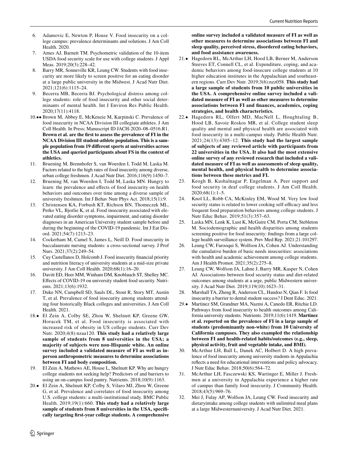- <span id="page-20-0"></span>6. Adamovic E, Newton P, House V. Food insecurity on a college campus: prevalence determinants and solutions. J Am Coll Health. 2020.
- <span id="page-20-21"></span>7. Ames AJ, Barnett TM. Psychometric validation of the 10-item USDA food security scale for use with college students. J Appl Meas. 2019;20(3):228–42.
- <span id="page-20-20"></span>Barry MR, Sonneville KR, Leung CW. Students with food insecurity are more likely to screen positive for an eating disorder at a large public university in the Midwest. J Acad Nutr Diet. 2021;121(6):1115–24.
- <span id="page-20-1"></span>Becerra MB, Becerra BJ. Psychological distress among college students: role of food insecurity and other social determinants of mental health. Int J Environ Res Public Health. 2020;17(11):4118.
- <span id="page-20-2"></span>10.•• Brown M, Abbey E, McKenzie M, Karpinski C. Prevalence of food insecurity in NCAA Division III collegiate athletes. J Am Coll Health. In Press; Manuscript ID JACH-2020–08–0516.R1. **Brown et al. are the frst to assess the prevalence of FI in the NCAA Division III student-athlete population. This is a sample population from 19 diferent sports at universities across the USA and queried participants about FS in the context of athletics.**
- <span id="page-20-3"></span>11. Bruening M, Brennhofer S, van Woerden I, Todd M, Laska M. Factors related to the high rates of food insecurity among diverse, urban college freshmen. J Acad Nutr Diet. 2016;116(9):1450–7.
- <span id="page-20-15"></span>Bruening M, van Woerden I, Todd M, Laska MN. Hungry to learn: the prevalence and efects of food insecurity on health behaviors and outcomes over time among a diverse sample of university freshmen. Int J Behav Nutr Phys Act. 2018;15(1):9.
- <span id="page-20-16"></span>13. Christensen KA, Forbush KT, Richson BN, Thomeczek ML, Perko VL, Bjorlie K, et al. Food insecurity associated with elevated eating disorder symptoms, impairment, and eating disorder diagnoses in an American University student sample before and during the beginning of the COVID-19 pandemic. Int J Eat Disord. 2021;54(7):1213–23.
- <span id="page-20-22"></span>14. Cockerham M, Camel S, James L, Neill D. Food insecurity in baccalaureate nursing students: a cross-sectional survey. J Prof Nurs. 2021;37(2):249–54.
- <span id="page-20-14"></span>15. Cuy Castellanos D, Holcomb J. Food insecurity fnancial priority and nutrition literacy of university students at a mid-size private university. J Am Coll Health. 2020;68(1):16–20.
- <span id="page-20-23"></span>16. Davitt ED, Heer MM, Winham DM, Knoblauch ST, Shelley MC. Efects of COVID-19 on university student food security. Nutrients. 2021;13(6):1932.
- <span id="page-20-4"></span>17. Duke NN, Campbell SD, Sauls DL, Stout R, Story MT, Austin T, et al. Prevalence of food insecurity among students attending four historically Black colleges and universities. J Am Coll Health. 2021.
- <span id="page-20-5"></span>18.• El Zein A, Colby SE, Zhou W, Shelnutt KP, Greene GW, Horacek TM, et al. Food insecurity is associated with increased risk of obesity in US college students. Curr Dev Nutr. 2020;4(8):nzaa120. **This study had a relatively large sample of students from 8 universities in the USA; a majority of subjects were non-Hispanic white. An online survey included a validated measure of FI as well as inperson anthropometric measures to determine associations between FI and body composition.**
- <span id="page-20-6"></span>19. El Zein A, Mathews AE, House L, Shelnutt KP. Why are hungry college students not seeking help? Predictors of and barriers to using an on-campus food pantry. Nutrients. 2018;10(9):1163.
- <span id="page-20-7"></span>20.• El Zein A, Shelnutt KP, Colby S, Vilaro MJ, Zhou W, Greene G, et al. Prevalence and correlates of food insecurity among U.S. college students: a multi-institutional study. BMC Public Health. 2019;19(1):660. **This study had a relatively large sample of students from 8 universities in the USA, specifcally targeting frst-year college students. A comprehensive**

**online survey included a validated measure of FI as well as other measures to determine associations between FI and sleep quality, perceived stress, disordered eating behaviors, and food assistance awareness.**

- <span id="page-20-8"></span>21.• Hagedorn RL, McArthur LH, Hood LB, Berner M, Anderson Steeves ET, Connell CL, et al. Expenditure, coping, and academic behaviors among food-insecure college students at 10 higher education institutes in the Appalachian and southeastern regions. Curr Dev Nutr. 2019;3(6):nzz058. **This study had a large sample of students from 10 public universities in the USA. A comprehensive online survey included a validated measure of FI as well as other measures to determine associations between FI and fnances, academics, coping strategies, and health characteristics.**
- <span id="page-20-9"></span>22.• Hagedorn RL, Olfert MD, MacNell L, Houghtaling B, Hood LB, Savoie Roskos MR, et al. College student sleep quality and mental and physical health are associated with food insecurity in a multi-campus study. Public Health Nutr. 2021;24(13):4305–12. **This study had the largest sample of subjects of any reviewed article with participants from 22 universities in the USA. It also had the most extensive online survey of any reviewed research that included a validated measure of FI as well as assessments of sleep quality, mental health, and physical health to determine associations between these metrics and FI.**
- <span id="page-20-10"></span>23. Keogh B, Kushalnagar P, Engelman A. Peer support and food security in deaf college students. J Am Coll Health. 2020;68(1):1–5.
- <span id="page-20-18"></span>24. Knol LL, Robb CA, McKinley EM, Wood M. Very low food security status is related to lower cooking self-efficacy and less frequent food preparation behaviors among college students. J Nutr Educ Behav. 2019;51(3):357–63.
- <span id="page-20-17"></span>25. Laska MN, Lenk K, Lust K, McGuire CM, Porta CM, Stebleton M. Sociodemographic and health disparities among students screening positive for food insecurity: fndings from a large college health surveillance system. Prev Med Rep. 2021;21:101297.
- <span id="page-20-19"></span>26. Leung CW, Farooqui S, Wolfson JA, Cohen AJ. Understanding the cumulative burden of basic needs insecurities: associations with health and academic achievement among college students. Am J Health Promot. 2021;35(2):275–8.
- <span id="page-20-24"></span>27. Leung CW, Wolfson JA, Lahne J, Barry MR, Kasper N, Cohen AJ. Associations between food security status and diet-related outcomes among students at a arge, public Midwestern university. J Acad Nutr Diet. 2019;119(10):1623–31.
- <span id="page-20-11"></span>28. Marshall TA, Zheng R, Anderson CL, Handoo N, Qian F. Is food insecurity a barrier to dental student success? J Dent Educ. 2021.
- <span id="page-20-12"></span>29.• Martinez SM, Grandner MA, Nazmi A, Canedo ER, Ritchie LD. Pathways from food insecurity to health outcomes among California university students. Nutrients. 2019;11(6):1419. **Martinez et al. reported on the prevalence of FI in a large sample of students (predominantly non-white) from 10 University of California campuses. They also exampled the relationship between FI and health-related habits/outcomes (e.g., sleep, physical activity, fruit and vegetable intake, and BMI).**
- <span id="page-20-13"></span>30. McArthur LH, Ball L, Danek AC, Holbert D. A high prevalence of food insecurity among university students in Appalachia refects a need for educational interventions and policy advocacy. J Nutr Educ Behav. 2018;50(6):564–72.
- <span id="page-20-25"></span>31. McArthur LH, Fasczewski KS, Wartinger E, Miller J. Freshmen at a university in Appalachia experience a higher rate of campus than family food insecurity. J Community Health. 2018;43(5):969–76.
- <span id="page-20-26"></span>32. Mei J, Fulay AP, Wolfson JA, Leung CW. Food insecurity and dietaryintake among college students with unlimited meal plans at a large Midwesternuniversity. J Acad Nutr Diet. 2021.